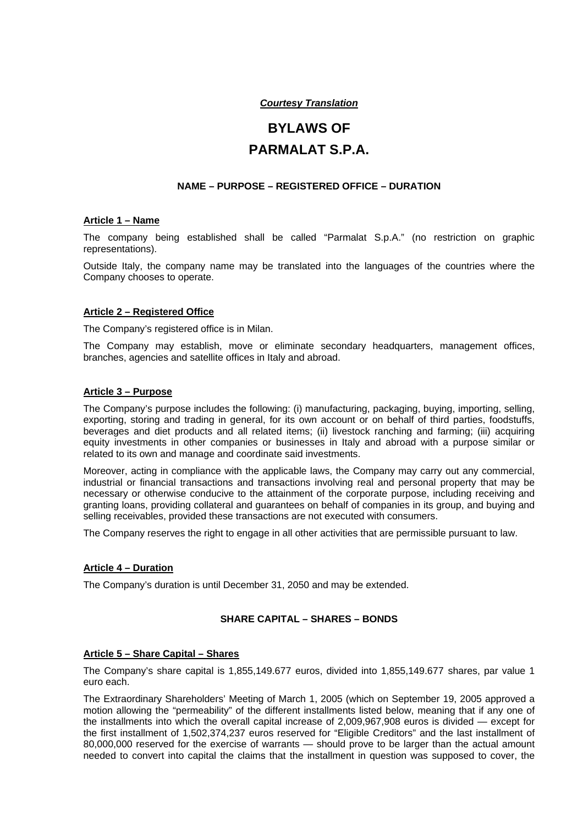# *Courtesy Translation*

# **BYLAWS OF PARMALAT S.P.A.**

# **NAME – PURPOSE – REGISTERED OFFICE – DURATION**

#### **Article 1 – Name**

The company being established shall be called "Parmalat S.p.A." (no restriction on graphic representations).

Outside Italy, the company name may be translated into the languages of the countries where the Company chooses to operate.

# **Article 2 – Registered Office**

The Company's registered office is in Milan.

The Company may establish, move or eliminate secondary headquarters, management offices, branches, agencies and satellite offices in Italy and abroad.

#### **Article 3 – Purpose**

The Company's purpose includes the following: (i) manufacturing, packaging, buying, importing, selling, exporting, storing and trading in general, for its own account or on behalf of third parties, foodstuffs, beverages and diet products and all related items; (ii) livestock ranching and farming; (iii) acquiring equity investments in other companies or businesses in Italy and abroad with a purpose similar or related to its own and manage and coordinate said investments.

Moreover, acting in compliance with the applicable laws, the Company may carry out any commercial, industrial or financial transactions and transactions involving real and personal property that may be necessary or otherwise conducive to the attainment of the corporate purpose, including receiving and granting loans, providing collateral and guarantees on behalf of companies in its group, and buying and selling receivables, provided these transactions are not executed with consumers.

The Company reserves the right to engage in all other activities that are permissible pursuant to law.

#### **Article 4 – Duration**

The Company's duration is until December 31, 2050 and may be extended.

# **SHARE CAPITAL – SHARES – BONDS**

#### **Article 5 – Share Capital – Shares**

The Company's share capital is 1,855,149.677 euros, divided into 1,855,149.677 shares, par value 1 euro each.

The Extraordinary Shareholders' Meeting of March 1, 2005 (which on September 19, 2005 approved a motion allowing the "permeability" of the different installments listed below, meaning that if any one of the installments into which the overall capital increase of 2,009,967,908 euros is divided — except for the first installment of 1,502,374,237 euros reserved for "Eligible Creditors" and the last installment of 80,000,000 reserved for the exercise of warrants — should prove to be larger than the actual amount needed to convert into capital the claims that the installment in question was supposed to cover, the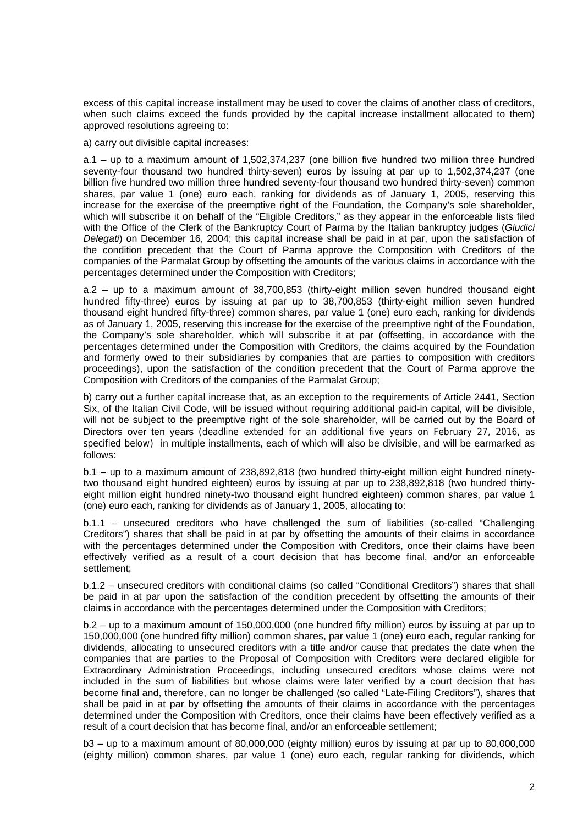excess of this capital increase installment may be used to cover the claims of another class of creditors, when such claims exceed the funds provided by the capital increase installment allocated to them) approved resolutions agreeing to:

a) carry out divisible capital increases:

a.1 – up to a maximum amount of 1,502,374,237 (one billion five hundred two million three hundred seventy-four thousand two hundred thirty-seven) euros by issuing at par up to 1,502,374,237 (one billion five hundred two million three hundred seventy-four thousand two hundred thirty-seven) common shares, par value 1 (one) euro each, ranking for dividends as of January 1, 2005, reserving this increase for the exercise of the preemptive right of the Foundation, the Company's sole shareholder, which will subscribe it on behalf of the "Eligible Creditors," as they appear in the enforceable lists filed with the Office of the Clerk of the Bankruptcy Court of Parma by the Italian bankruptcy judges (*Giudici Delegati*) on December 16, 2004; this capital increase shall be paid in at par, upon the satisfaction of the condition precedent that the Court of Parma approve the Composition with Creditors of the companies of the Parmalat Group by offsetting the amounts of the various claims in accordance with the percentages determined under the Composition with Creditors;

a.2 – up to a maximum amount of 38,700,853 (thirty-eight million seven hundred thousand eight hundred fifty-three) euros by issuing at par up to 38,700,853 (thirty-eight million seven hundred thousand eight hundred fifty-three) common shares, par value 1 (one) euro each, ranking for dividends as of January 1, 2005, reserving this increase for the exercise of the preemptive right of the Foundation, the Company's sole shareholder, which will subscribe it at par (offsetting, in accordance with the percentages determined under the Composition with Creditors, the claims acquired by the Foundation and formerly owed to their subsidiaries by companies that are parties to composition with creditors proceedings), upon the satisfaction of the condition precedent that the Court of Parma approve the Composition with Creditors of the companies of the Parmalat Group;

b) carry out a further capital increase that, as an exception to the requirements of Article 2441, Section Six, of the Italian Civil Code, will be issued without requiring additional paid-in capital, will be divisible, will not be subject to the preemptive right of the sole shareholder, will be carried out by the Board of Directors over ten years (deadline extended for an additional five years on February 27, 2016, as specified below) in multiple installments, each of which will also be divisible, and will be earmarked as follows:

b.1 – up to a maximum amount of 238,892,818 (two hundred thirty-eight million eight hundred ninetytwo thousand eight hundred eighteen) euros by issuing at par up to 238,892,818 (two hundred thirtyeight million eight hundred ninety-two thousand eight hundred eighteen) common shares, par value 1 (one) euro each, ranking for dividends as of January 1, 2005, allocating to:

b.1.1 – unsecured creditors who have challenged the sum of liabilities (so-called "Challenging Creditors") shares that shall be paid in at par by offsetting the amounts of their claims in accordance with the percentages determined under the Composition with Creditors, once their claims have been effectively verified as a result of a court decision that has become final, and/or an enforceable settlement;

b.1.2 – unsecured creditors with conditional claims (so called "Conditional Creditors") shares that shall be paid in at par upon the satisfaction of the condition precedent by offsetting the amounts of their claims in accordance with the percentages determined under the Composition with Creditors;

b.2 – up to a maximum amount of 150,000,000 (one hundred fifty million) euros by issuing at par up to 150,000,000 (one hundred fifty million) common shares, par value 1 (one) euro each, regular ranking for dividends, allocating to unsecured creditors with a title and/or cause that predates the date when the companies that are parties to the Proposal of Composition with Creditors were declared eligible for Extraordinary Administration Proceedings, including unsecured creditors whose claims were not included in the sum of liabilities but whose claims were later verified by a court decision that has become final and, therefore, can no longer be challenged (so called "Late-Filing Creditors"), shares that shall be paid in at par by offsetting the amounts of their claims in accordance with the percentages determined under the Composition with Creditors, once their claims have been effectively verified as a result of a court decision that has become final, and/or an enforceable settlement;

b3 – up to a maximum amount of 80,000,000 (eighty million) euros by issuing at par up to 80,000,000 (eighty million) common shares, par value 1 (one) euro each, regular ranking for dividends, which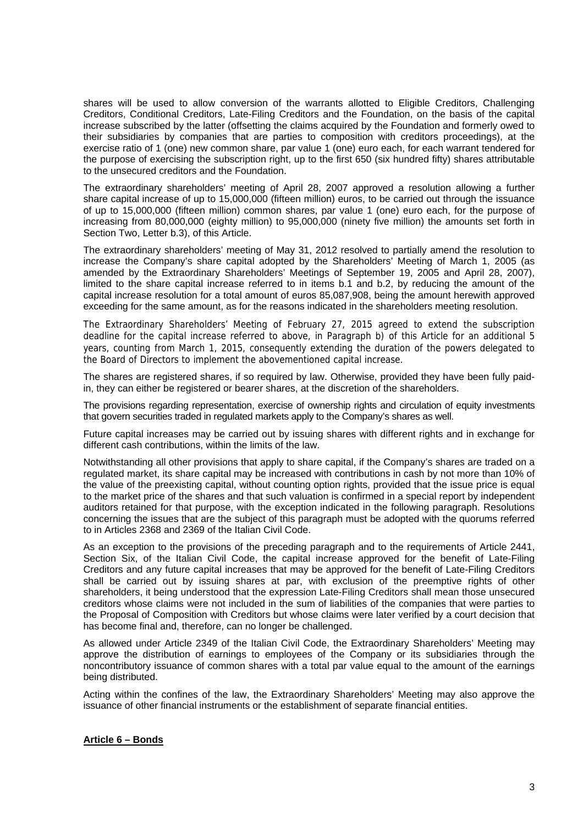shares will be used to allow conversion of the warrants allotted to Eligible Creditors, Challenging Creditors, Conditional Creditors, Late-Filing Creditors and the Foundation, on the basis of the capital increase subscribed by the latter (offsetting the claims acquired by the Foundation and formerly owed to their subsidiaries by companies that are parties to composition with creditors proceedings), at the exercise ratio of 1 (one) new common share, par value 1 (one) euro each, for each warrant tendered for the purpose of exercising the subscription right, up to the first 650 (six hundred fifty) shares attributable to the unsecured creditors and the Foundation.

The extraordinary shareholders' meeting of April 28, 2007 approved a resolution allowing a further share capital increase of up to 15,000,000 (fifteen million) euros, to be carried out through the issuance of up to 15,000,000 (fifteen million) common shares, par value 1 (one) euro each, for the purpose of increasing from 80,000,000 (eighty million) to 95,000,000 (ninety five million) the amounts set forth in Section Two, Letter b.3), of this Article.

The extraordinary shareholders' meeting of May 31, 2012 resolved to partially amend the resolution to increase the Company's share capital adopted by the Shareholders' Meeting of March 1, 2005 (as amended by the Extraordinary Shareholders' Meetings of September 19, 2005 and April 28, 2007), limited to the share capital increase referred to in items b.1 and b.2, by reducing the amount of the capital increase resolution for a total amount of euros 85,087,908, being the amount herewith approved exceeding for the same amount, as for the reasons indicated in the shareholders meeting resolution.

The Extraordinary Shareholders' Meeting of February 27, 2015 agreed to extend the subscription deadline for the capital increase referred to above, in Paragraph b) of this Article for an additional 5 years, counting from March 1, 2015, consequently extending the duration of the powers delegated to the Board of Directors to implement the abovementioned capital increase.

The shares are registered shares, if so required by law. Otherwise, provided they have been fully paidin, they can either be registered or bearer shares, at the discretion of the shareholders.

The provisions regarding representation, exercise of ownership rights and circulation of equity investments that govern securities traded in regulated markets apply to the Company's shares as well.

Future capital increases may be carried out by issuing shares with different rights and in exchange for different cash contributions, within the limits of the law.

Notwithstanding all other provisions that apply to share capital, if the Company's shares are traded on a regulated market, its share capital may be increased with contributions in cash by not more than 10% of the value of the preexisting capital, without counting option rights, provided that the issue price is equal to the market price of the shares and that such valuation is confirmed in a special report by independent auditors retained for that purpose, with the exception indicated in the following paragraph. Resolutions concerning the issues that are the subject of this paragraph must be adopted with the quorums referred to in Articles 2368 and 2369 of the Italian Civil Code.

As an exception to the provisions of the preceding paragraph and to the requirements of Article 2441, Section Six, of the Italian Civil Code, the capital increase approved for the benefit of Late-Filing Creditors and any future capital increases that may be approved for the benefit of Late-Filing Creditors shall be carried out by issuing shares at par, with exclusion of the preemptive rights of other shareholders, it being understood that the expression Late-Filing Creditors shall mean those unsecured creditors whose claims were not included in the sum of liabilities of the companies that were parties to the Proposal of Composition with Creditors but whose claims were later verified by a court decision that has become final and, therefore, can no longer be challenged.

As allowed under Article 2349 of the Italian Civil Code, the Extraordinary Shareholders' Meeting may approve the distribution of earnings to employees of the Company or its subsidiaries through the noncontributory issuance of common shares with a total par value equal to the amount of the earnings being distributed.

Acting within the confines of the law, the Extraordinary Shareholders' Meeting may also approve the issuance of other financial instruments or the establishment of separate financial entities.

#### **Article 6 – Bonds**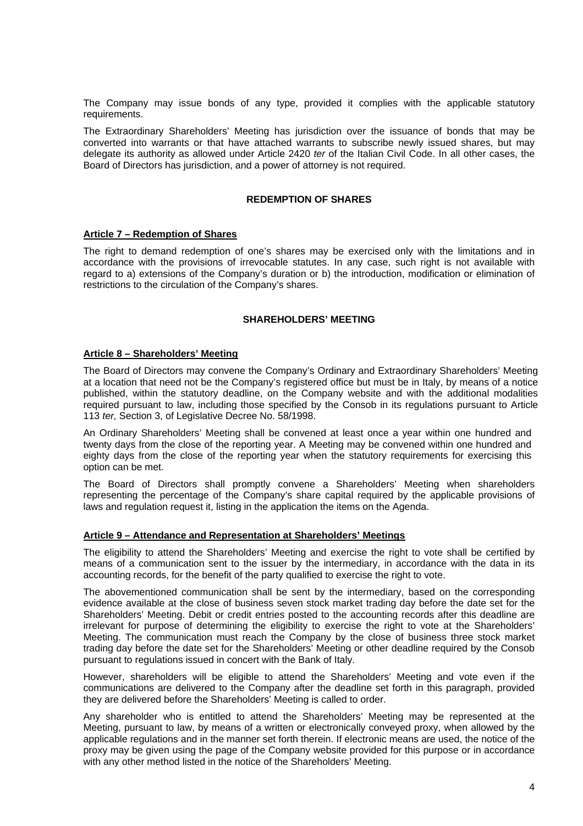The Company may issue bonds of any type, provided it complies with the applicable statutory requirements.

The Extraordinary Shareholders' Meeting has jurisdiction over the issuance of bonds that may be converted into warrants or that have attached warrants to subscribe newly issued shares, but may delegate its authority as allowed under Article 2420 *ter* of the Italian Civil Code. In all other cases, the Board of Directors has jurisdiction, and a power of attorney is not required.

#### **REDEMPTION OF SHARES**

#### **Article 7 – Redemption of Shares**

The right to demand redemption of one's shares may be exercised only with the limitations and in accordance with the provisions of irrevocable statutes. In any case, such right is not available with regard to a) extensions of the Company's duration or b) the introduction, modification or elimination of restrictions to the circulation of the Company's shares.

#### **SHAREHOLDERS' MEETING**

#### **Article 8 – Shareholders' Meeting**

The Board of Directors may convene the Company's Ordinary and Extraordinary Shareholders' Meeting at a location that need not be the Company's registered office but must be in Italy, by means of a notice published, within the statutory deadline, on the Company website and with the additional modalities required pursuant to law, including those specified by the Consob in its regulations pursuant to Article 113 *ter,* Section 3, of Legislative Decree No. 58/1998.

An Ordinary Shareholders' Meeting shall be convened at least once a year within one hundred and twenty days from the close of the reporting year. A Meeting may be convened within one hundred and eighty days from the close of the reporting year when the statutory requirements for exercising this option can be met.

The Board of Directors shall promptly convene a Shareholders' Meeting when shareholders representing the percentage of the Company's share capital required by the applicable provisions of laws and regulation request it, listing in the application the items on the Agenda.

# **Article 9 – Attendance and Representation at Shareholders' Meetings**

The eligibility to attend the Shareholders' Meeting and exercise the right to vote shall be certified by means of a communication sent to the issuer by the intermediary, in accordance with the data in its accounting records, for the benefit of the party qualified to exercise the right to vote.

The abovementioned communication shall be sent by the intermediary, based on the corresponding evidence available at the close of business seven stock market trading day before the date set for the Shareholders' Meeting. Debit or credit entries posted to the accounting records after this deadline are irrelevant for purpose of determining the eligibility to exercise the right to vote at the Shareholders' Meeting. The communication must reach the Company by the close of business three stock market trading day before the date set for the Shareholders' Meeting or other deadline required by the Consob pursuant to regulations issued in concert with the Bank of Italy.

However, shareholders will be eligible to attend the Shareholders' Meeting and vote even if the communications are delivered to the Company after the deadline set forth in this paragraph, provided they are delivered before the Shareholders' Meeting is called to order.

Any shareholder who is entitled to attend the Shareholders' Meeting may be represented at the Meeting, pursuant to law, by means of a written or electronically conveyed proxy, when allowed by the applicable regulations and in the manner set forth therein. If electronic means are used, the notice of the proxy may be given using the page of the Company website provided for this purpose or in accordance with any other method listed in the notice of the Shareholders' Meeting.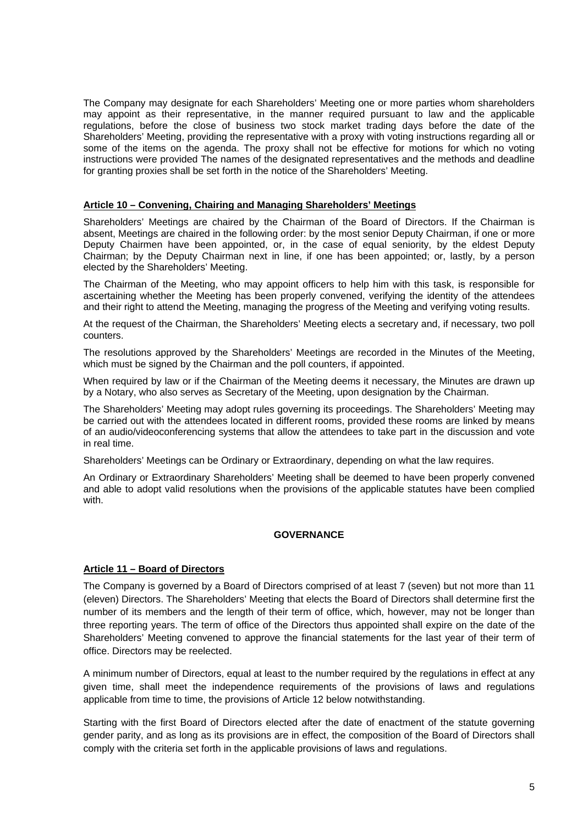The Company may designate for each Shareholders' Meeting one or more parties whom shareholders may appoint as their representative, in the manner required pursuant to law and the applicable regulations, before the close of business two stock market trading days before the date of the Shareholders' Meeting, providing the representative with a proxy with voting instructions regarding all or some of the items on the agenda. The proxy shall not be effective for motions for which no voting instructions were provided The names of the designated representatives and the methods and deadline for granting proxies shall be set forth in the notice of the Shareholders' Meeting.

#### **Article 10 – Convening, Chairing and Managing Shareholders' Meetings**

Shareholders' Meetings are chaired by the Chairman of the Board of Directors. If the Chairman is absent, Meetings are chaired in the following order: by the most senior Deputy Chairman, if one or more Deputy Chairmen have been appointed, or, in the case of equal seniority, by the eldest Deputy Chairman; by the Deputy Chairman next in line, if one has been appointed; or, lastly, by a person elected by the Shareholders' Meeting.

The Chairman of the Meeting, who may appoint officers to help him with this task, is responsible for ascertaining whether the Meeting has been properly convened, verifying the identity of the attendees and their right to attend the Meeting, managing the progress of the Meeting and verifying voting results.

At the request of the Chairman, the Shareholders' Meeting elects a secretary and, if necessary, two poll counters.

The resolutions approved by the Shareholders' Meetings are recorded in the Minutes of the Meeting, which must be signed by the Chairman and the poll counters, if appointed.

When required by law or if the Chairman of the Meeting deems it necessary, the Minutes are drawn up by a Notary, who also serves as Secretary of the Meeting, upon designation by the Chairman.

The Shareholders' Meeting may adopt rules governing its proceedings. The Shareholders' Meeting may be carried out with the attendees located in different rooms, provided these rooms are linked by means of an audio/videoconferencing systems that allow the attendees to take part in the discussion and vote in real time.

Shareholders' Meetings can be Ordinary or Extraordinary, depending on what the law requires.

An Ordinary or Extraordinary Shareholders' Meeting shall be deemed to have been properly convened and able to adopt valid resolutions when the provisions of the applicable statutes have been complied with.

# **GOVERNANCE**

# **Article 11 – Board of Directors**

The Company is governed by a Board of Directors comprised of at least 7 (seven) but not more than 11 (eleven) Directors. The Shareholders' Meeting that elects the Board of Directors shall determine first the number of its members and the length of their term of office, which, however, may not be longer than three reporting years. The term of office of the Directors thus appointed shall expire on the date of the Shareholders' Meeting convened to approve the financial statements for the last year of their term of office. Directors may be reelected.

A minimum number of Directors, equal at least to the number required by the regulations in effect at any given time, shall meet the independence requirements of the provisions of laws and regulations applicable from time to time, the provisions of Article 12 below notwithstanding.

Starting with the first Board of Directors elected after the date of enactment of the statute governing gender parity, and as long as its provisions are in effect, the composition of the Board of Directors shall comply with the criteria set forth in the applicable provisions of laws and regulations.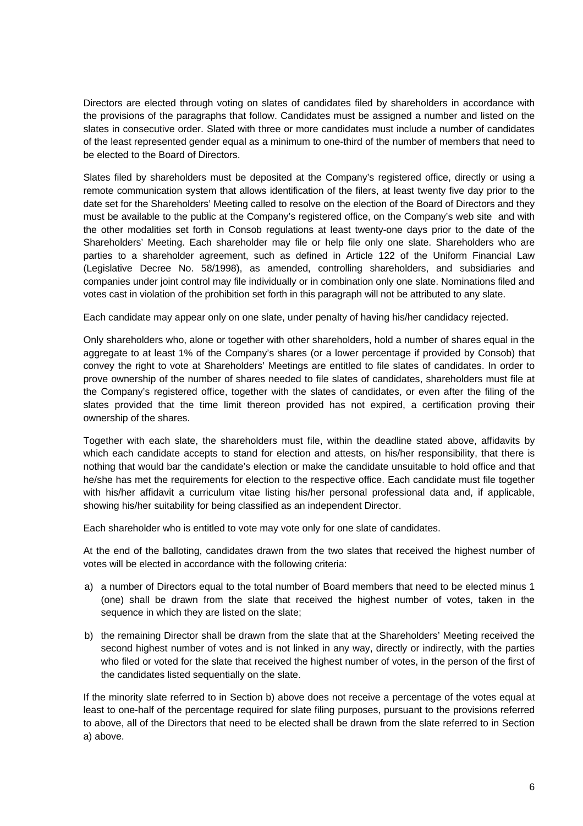Directors are elected through voting on slates of candidates filed by shareholders in accordance with the provisions of the paragraphs that follow. Candidates must be assigned a number and listed on the slates in consecutive order. Slated with three or more candidates must include a number of candidates of the least represented gender equal as a minimum to one-third of the number of members that need to be elected to the Board of Directors.

Slates filed by shareholders must be deposited at the Company's registered office, directly or using a remote communication system that allows identification of the filers, at least twenty five day prior to the date set for the Shareholders' Meeting called to resolve on the election of the Board of Directors and they must be available to the public at the Company's registered office, on the Company's web site and with the other modalities set forth in Consob regulations at least twenty-one days prior to the date of the Shareholders' Meeting. Each shareholder may file or help file only one slate. Shareholders who are parties to a shareholder agreement, such as defined in Article 122 of the Uniform Financial Law (Legislative Decree No. 58/1998), as amended, controlling shareholders, and subsidiaries and companies under joint control may file individually or in combination only one slate. Nominations filed and votes cast in violation of the prohibition set forth in this paragraph will not be attributed to any slate.

Each candidate may appear only on one slate, under penalty of having his/her candidacy rejected.

Only shareholders who, alone or together with other shareholders, hold a number of shares equal in the aggregate to at least 1% of the Company's shares (or a lower percentage if provided by Consob) that convey the right to vote at Shareholders' Meetings are entitled to file slates of candidates. In order to prove ownership of the number of shares needed to file slates of candidates, shareholders must file at the Company's registered office, together with the slates of candidates, or even after the filing of the slates provided that the time limit thereon provided has not expired, a certification proving their ownership of the shares.

Together with each slate, the shareholders must file, within the deadline stated above, affidavits by which each candidate accepts to stand for election and attests, on his/her responsibility, that there is nothing that would bar the candidate's election or make the candidate unsuitable to hold office and that he/she has met the requirements for election to the respective office. Each candidate must file together with his/her affidavit a curriculum vitae listing his/her personal professional data and, if applicable, showing his/her suitability for being classified as an independent Director.

Each shareholder who is entitled to vote may vote only for one slate of candidates.

At the end of the balloting, candidates drawn from the two slates that received the highest number of votes will be elected in accordance with the following criteria:

- a) a number of Directors equal to the total number of Board members that need to be elected minus 1 (one) shall be drawn from the slate that received the highest number of votes, taken in the sequence in which they are listed on the slate;
- b) the remaining Director shall be drawn from the slate that at the Shareholders' Meeting received the second highest number of votes and is not linked in any way, directly or indirectly, with the parties who filed or voted for the slate that received the highest number of votes, in the person of the first of the candidates listed sequentially on the slate.

If the minority slate referred to in Section b) above does not receive a percentage of the votes equal at least to one-half of the percentage required for slate filing purposes, pursuant to the provisions referred to above, all of the Directors that need to be elected shall be drawn from the slate referred to in Section a) above.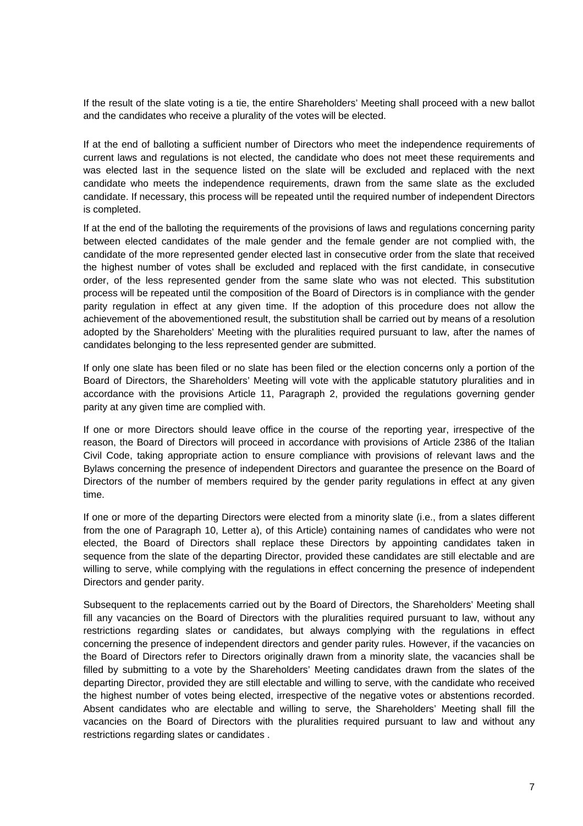If the result of the slate voting is a tie, the entire Shareholders' Meeting shall proceed with a new ballot and the candidates who receive a plurality of the votes will be elected.

If at the end of balloting a sufficient number of Directors who meet the independence requirements of current laws and regulations is not elected, the candidate who does not meet these requirements and was elected last in the sequence listed on the slate will be excluded and replaced with the next candidate who meets the independence requirements, drawn from the same slate as the excluded candidate. If necessary, this process will be repeated until the required number of independent Directors is completed.

If at the end of the balloting the requirements of the provisions of laws and regulations concerning parity between elected candidates of the male gender and the female gender are not complied with, the candidate of the more represented gender elected last in consecutive order from the slate that received the highest number of votes shall be excluded and replaced with the first candidate, in consecutive order, of the less represented gender from the same slate who was not elected. This substitution process will be repeated until the composition of the Board of Directors is in compliance with the gender parity regulation in effect at any given time. If the adoption of this procedure does not allow the achievement of the abovementioned result, the substitution shall be carried out by means of a resolution adopted by the Shareholders' Meeting with the pluralities required pursuant to law, after the names of candidates belonging to the less represented gender are submitted.

If only one slate has been filed or no slate has been filed or the election concerns only a portion of the Board of Directors, the Shareholders' Meeting will vote with the applicable statutory pluralities and in accordance with the provisions Article 11, Paragraph 2, provided the regulations governing gender parity at any given time are complied with.

If one or more Directors should leave office in the course of the reporting year, irrespective of the reason, the Board of Directors will proceed in accordance with provisions of Article 2386 of the Italian Civil Code, taking appropriate action to ensure compliance with provisions of relevant laws and the Bylaws concerning the presence of independent Directors and guarantee the presence on the Board of Directors of the number of members required by the gender parity regulations in effect at any given time.

If one or more of the departing Directors were elected from a minority slate (i.e., from a slates different from the one of Paragraph 10, Letter a), of this Article) containing names of candidates who were not elected, the Board of Directors shall replace these Directors by appointing candidates taken in sequence from the slate of the departing Director, provided these candidates are still electable and are willing to serve, while complying with the regulations in effect concerning the presence of independent Directors and gender parity.

Subsequent to the replacements carried out by the Board of Directors, the Shareholders' Meeting shall fill any vacancies on the Board of Directors with the pluralities required pursuant to law, without any restrictions regarding slates or candidates, but always complying with the regulations in effect concerning the presence of independent directors and gender parity rules. However, if the vacancies on the Board of Directors refer to Directors originally drawn from a minority slate, the vacancies shall be filled by submitting to a vote by the Shareholders' Meeting candidates drawn from the slates of the departing Director, provided they are still electable and willing to serve, with the candidate who received the highest number of votes being elected, irrespective of the negative votes or abstentions recorded. Absent candidates who are electable and willing to serve, the Shareholders' Meeting shall fill the vacancies on the Board of Directors with the pluralities required pursuant to law and without any restrictions regarding slates or candidates .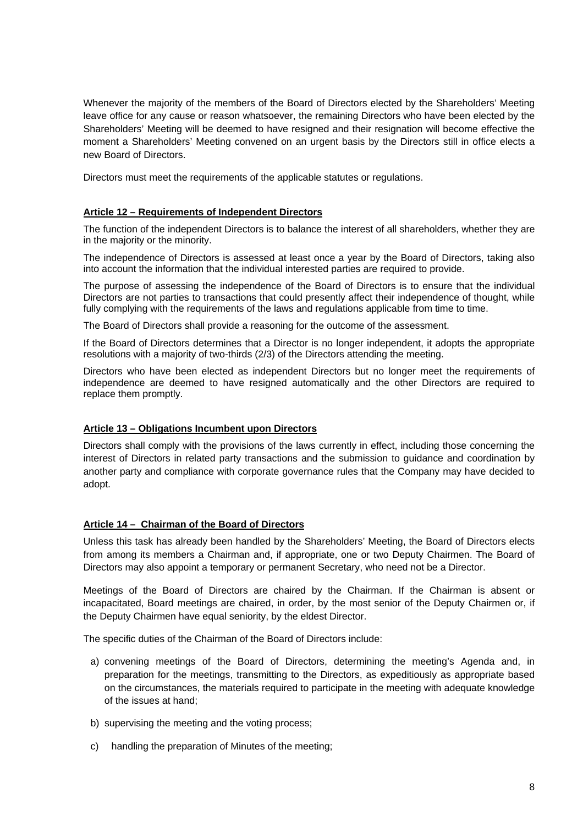Whenever the majority of the members of the Board of Directors elected by the Shareholders' Meeting leave office for any cause or reason whatsoever, the remaining Directors who have been elected by the Shareholders' Meeting will be deemed to have resigned and their resignation will become effective the moment a Shareholders' Meeting convened on an urgent basis by the Directors still in office elects a new Board of Directors.

Directors must meet the requirements of the applicable statutes or regulations.

# **Article 12 – Requirements of Independent Directors**

The function of the independent Directors is to balance the interest of all shareholders, whether they are in the majority or the minority.

The independence of Directors is assessed at least once a year by the Board of Directors, taking also into account the information that the individual interested parties are required to provide.

The purpose of assessing the independence of the Board of Directors is to ensure that the individual Directors are not parties to transactions that could presently affect their independence of thought, while fully complying with the requirements of the laws and regulations applicable from time to time.

The Board of Directors shall provide a reasoning for the outcome of the assessment.

If the Board of Directors determines that a Director is no longer independent, it adopts the appropriate resolutions with a majority of two-thirds (2/3) of the Directors attending the meeting.

Directors who have been elected as independent Directors but no longer meet the requirements of independence are deemed to have resigned automatically and the other Directors are required to replace them promptly.

# **Article 13 – Obligations Incumbent upon Directors**

Directors shall comply with the provisions of the laws currently in effect, including those concerning the interest of Directors in related party transactions and the submission to guidance and coordination by another party and compliance with corporate governance rules that the Company may have decided to adopt.

#### **Article 14 – Chairman of the Board of Directors**

Unless this task has already been handled by the Shareholders' Meeting, the Board of Directors elects from among its members a Chairman and, if appropriate, one or two Deputy Chairmen. The Board of Directors may also appoint a temporary or permanent Secretary, who need not be a Director.

Meetings of the Board of Directors are chaired by the Chairman. If the Chairman is absent or incapacitated, Board meetings are chaired, in order, by the most senior of the Deputy Chairmen or, if the Deputy Chairmen have equal seniority, by the eldest Director.

The specific duties of the Chairman of the Board of Directors include:

- a) convening meetings of the Board of Directors, determining the meeting's Agenda and, in preparation for the meetings, transmitting to the Directors, as expeditiously as appropriate based on the circumstances, the materials required to participate in the meeting with adequate knowledge of the issues at hand;
- b) supervising the meeting and the voting process;
- c) handling the preparation of Minutes of the meeting;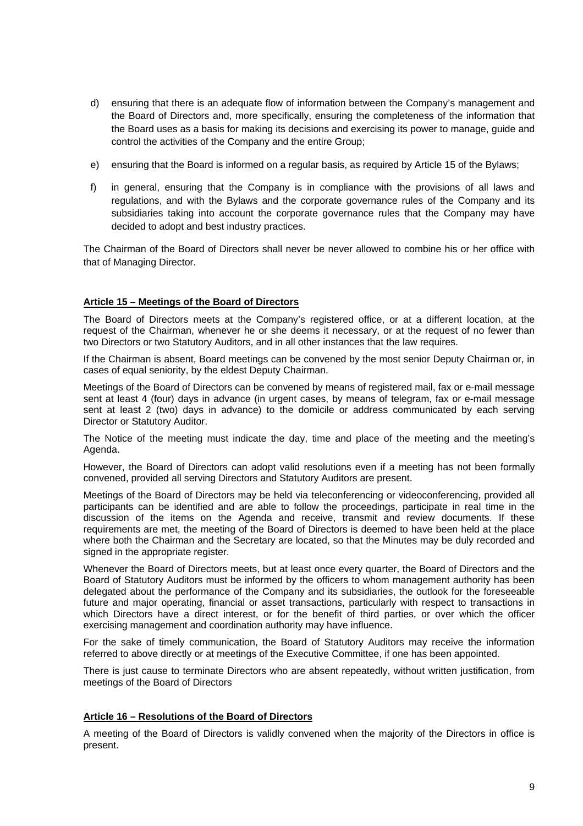- d) ensuring that there is an adequate flow of information between the Company's management and the Board of Directors and, more specifically, ensuring the completeness of the information that the Board uses as a basis for making its decisions and exercising its power to manage, guide and control the activities of the Company and the entire Group;
- e) ensuring that the Board is informed on a regular basis, as required by Article 15 of the Bylaws;
- f) in general, ensuring that the Company is in compliance with the provisions of all laws and regulations, and with the Bylaws and the corporate governance rules of the Company and its subsidiaries taking into account the corporate governance rules that the Company may have decided to adopt and best industry practices.

The Chairman of the Board of Directors shall never be never allowed to combine his or her office with that of Managing Director.

# **Article 15 – Meetings of the Board of Directors**

The Board of Directors meets at the Company's registered office, or at a different location, at the request of the Chairman, whenever he or she deems it necessary, or at the request of no fewer than two Directors or two Statutory Auditors, and in all other instances that the law requires.

If the Chairman is absent, Board meetings can be convened by the most senior Deputy Chairman or, in cases of equal seniority, by the eldest Deputy Chairman.

Meetings of the Board of Directors can be convened by means of registered mail, fax or e-mail message sent at least 4 (four) days in advance (in urgent cases, by means of telegram, fax or e-mail message sent at least 2 (two) days in advance) to the domicile or address communicated by each serving Director or Statutory Auditor.

The Notice of the meeting must indicate the day, time and place of the meeting and the meeting's Agenda.

However, the Board of Directors can adopt valid resolutions even if a meeting has not been formally convened, provided all serving Directors and Statutory Auditors are present.

Meetings of the Board of Directors may be held via teleconferencing or videoconferencing, provided all participants can be identified and are able to follow the proceedings, participate in real time in the discussion of the items on the Agenda and receive, transmit and review documents. If these requirements are met, the meeting of the Board of Directors is deemed to have been held at the place where both the Chairman and the Secretary are located, so that the Minutes may be duly recorded and signed in the appropriate register.

Whenever the Board of Directors meets, but at least once every quarter, the Board of Directors and the Board of Statutory Auditors must be informed by the officers to whom management authority has been delegated about the performance of the Company and its subsidiaries, the outlook for the foreseeable future and major operating, financial or asset transactions, particularly with respect to transactions in which Directors have a direct interest, or for the benefit of third parties, or over which the officer exercising management and coordination authority may have influence.

For the sake of timely communication, the Board of Statutory Auditors may receive the information referred to above directly or at meetings of the Executive Committee, if one has been appointed.

There is just cause to terminate Directors who are absent repeatedly, without written justification, from meetings of the Board of Directors

# **Article 16 – Resolutions of the Board of Directors**

A meeting of the Board of Directors is validly convened when the majority of the Directors in office is present.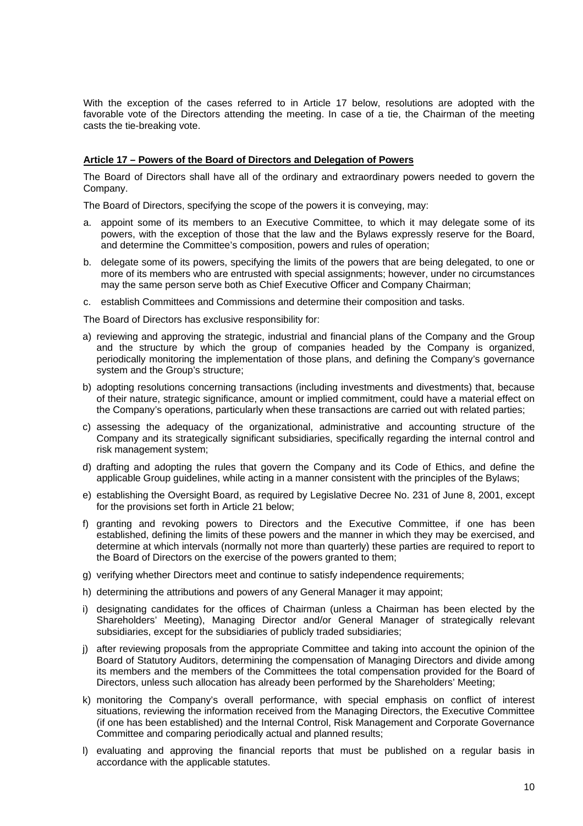With the exception of the cases referred to in Article 17 below, resolutions are adopted with the favorable vote of the Directors attending the meeting. In case of a tie, the Chairman of the meeting casts the tie-breaking vote.

#### **Article 17 – Powers of the Board of Directors and Delegation of Powers**

The Board of Directors shall have all of the ordinary and extraordinary powers needed to govern the Company.

The Board of Directors, specifying the scope of the powers it is conveying, may:

- a. appoint some of its members to an Executive Committee, to which it may delegate some of its powers, with the exception of those that the law and the Bylaws expressly reserve for the Board, and determine the Committee's composition, powers and rules of operation;
- b. delegate some of its powers, specifying the limits of the powers that are being delegated, to one or more of its members who are entrusted with special assignments; however, under no circumstances may the same person serve both as Chief Executive Officer and Company Chairman;
- c. establish Committees and Commissions and determine their composition and tasks.

The Board of Directors has exclusive responsibility for:

- a) reviewing and approving the strategic, industrial and financial plans of the Company and the Group and the structure by which the group of companies headed by the Company is organized, periodically monitoring the implementation of those plans, and defining the Company's governance system and the Group's structure;
- b) adopting resolutions concerning transactions (including investments and divestments) that, because of their nature, strategic significance, amount or implied commitment, could have a material effect on the Company's operations, particularly when these transactions are carried out with related parties;
- c) assessing the adequacy of the organizational, administrative and accounting structure of the Company and its strategically significant subsidiaries, specifically regarding the internal control and risk management system;
- d) drafting and adopting the rules that govern the Company and its Code of Ethics, and define the applicable Group guidelines, while acting in a manner consistent with the principles of the Bylaws;
- e) establishing the Oversight Board, as required by Legislative Decree No. 231 of June 8, 2001, except for the provisions set forth in Article 21 below;
- f) granting and revoking powers to Directors and the Executive Committee, if one has been established, defining the limits of these powers and the manner in which they may be exercised, and determine at which intervals (normally not more than quarterly) these parties are required to report to the Board of Directors on the exercise of the powers granted to them;
- g) verifying whether Directors meet and continue to satisfy independence requirements;
- h) determining the attributions and powers of any General Manager it may appoint;
- i) designating candidates for the offices of Chairman (unless a Chairman has been elected by the Shareholders' Meeting), Managing Director and/or General Manager of strategically relevant subsidiaries, except for the subsidiaries of publicly traded subsidiaries;
- j) after reviewing proposals from the appropriate Committee and taking into account the opinion of the Board of Statutory Auditors, determining the compensation of Managing Directors and divide among its members and the members of the Committees the total compensation provided for the Board of Directors, unless such allocation has already been performed by the Shareholders' Meeting;
- k) monitoring the Company's overall performance, with special emphasis on conflict of interest situations, reviewing the information received from the Managing Directors, the Executive Committee (if one has been established) and the Internal Control, Risk Management and Corporate Governance Committee and comparing periodically actual and planned results;
- l) evaluating and approving the financial reports that must be published on a regular basis in accordance with the applicable statutes.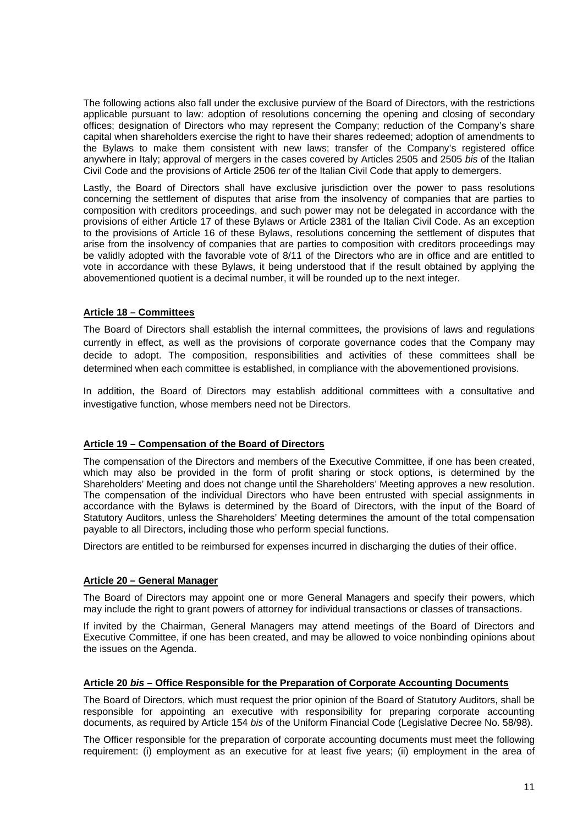The following actions also fall under the exclusive purview of the Board of Directors, with the restrictions applicable pursuant to law: adoption of resolutions concerning the opening and closing of secondary offices; designation of Directors who may represent the Company; reduction of the Company's share capital when shareholders exercise the right to have their shares redeemed; adoption of amendments to the Bylaws to make them consistent with new laws; transfer of the Company's registered office anywhere in Italy; approval of mergers in the cases covered by Articles 2505 and 2505 *bis* of the Italian Civil Code and the provisions of Article 2506 *ter* of the Italian Civil Code that apply to demergers.

Lastly, the Board of Directors shall have exclusive jurisdiction over the power to pass resolutions concerning the settlement of disputes that arise from the insolvency of companies that are parties to composition with creditors proceedings, and such power may not be delegated in accordance with the provisions of either Article 17 of these Bylaws or Article 2381 of the Italian Civil Code. As an exception to the provisions of Article 16 of these Bylaws, resolutions concerning the settlement of disputes that arise from the insolvency of companies that are parties to composition with creditors proceedings may be validly adopted with the favorable vote of 8/11 of the Directors who are in office and are entitled to vote in accordance with these Bylaws, it being understood that if the result obtained by applying the abovementioned quotient is a decimal number, it will be rounded up to the next integer.

# **Article 18 – Committees**

The Board of Directors shall establish the internal committees, the provisions of laws and regulations currently in effect, as well as the provisions of corporate governance codes that the Company may decide to adopt. The composition, responsibilities and activities of these committees shall be determined when each committee is established, in compliance with the abovementioned provisions.

In addition, the Board of Directors may establish additional committees with a consultative and investigative function, whose members need not be Directors.

#### **Article 19 – Compensation of the Board of Directors**

The compensation of the Directors and members of the Executive Committee, if one has been created, which may also be provided in the form of profit sharing or stock options, is determined by the Shareholders' Meeting and does not change until the Shareholders' Meeting approves a new resolution. The compensation of the individual Directors who have been entrusted with special assignments in accordance with the Bylaws is determined by the Board of Directors, with the input of the Board of Statutory Auditors, unless the Shareholders' Meeting determines the amount of the total compensation payable to all Directors, including those who perform special functions.

Directors are entitled to be reimbursed for expenses incurred in discharging the duties of their office.

#### **Article 20 – General Manager**

The Board of Directors may appoint one or more General Managers and specify their powers, which may include the right to grant powers of attorney for individual transactions or classes of transactions.

If invited by the Chairman, General Managers may attend meetings of the Board of Directors and Executive Committee, if one has been created, and may be allowed to voice nonbinding opinions about the issues on the Agenda.

#### **Article 20** *bis* **– Office Responsible for the Preparation of Corporate Accounting Documents**

The Board of Directors, which must request the prior opinion of the Board of Statutory Auditors, shall be responsible for appointing an executive with responsibility for preparing corporate accounting documents, as required by Article 154 *bis* of the Uniform Financial Code (Legislative Decree No. 58/98).

The Officer responsible for the preparation of corporate accounting documents must meet the following requirement: (i) employment as an executive for at least five years; (ii) employment in the area of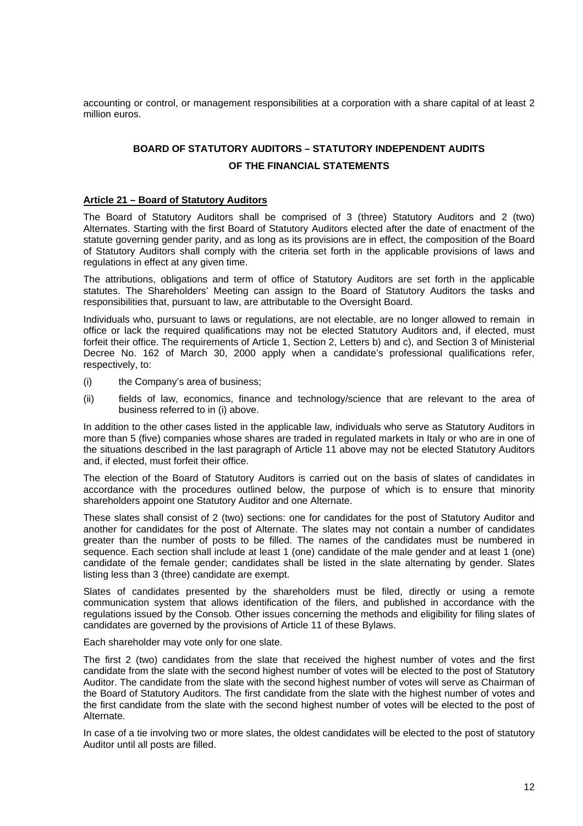accounting or control, or management responsibilities at a corporation with a share capital of at least 2 million euros.

# **BOARD OF STATUTORY AUDITORS – STATUTORY INDEPENDENT AUDITS OF THE FINANCIAL STATEMENTS**

#### **Article 21 – Board of Statutory Auditors**

The Board of Statutory Auditors shall be comprised of 3 (three) Statutory Auditors and 2 (two) Alternates. Starting with the first Board of Statutory Auditors elected after the date of enactment of the statute governing gender parity, and as long as its provisions are in effect, the composition of the Board of Statutory Auditors shall comply with the criteria set forth in the applicable provisions of laws and regulations in effect at any given time.

The attributions, obligations and term of office of Statutory Auditors are set forth in the applicable statutes. The Shareholders' Meeting can assign to the Board of Statutory Auditors the tasks and responsibilities that, pursuant to law, are attributable to the Oversight Board.

Individuals who, pursuant to laws or regulations, are not electable, are no longer allowed to remain in office or lack the required qualifications may not be elected Statutory Auditors and, if elected, must forfeit their office. The requirements of Article 1, Section 2, Letters b) and c), and Section 3 of Ministerial Decree No. 162 of March 30, 2000 apply when a candidate's professional qualifications refer, respectively, to:

- (i) the Company's area of business;
- (ii) fields of law, economics, finance and technology/science that are relevant to the area of business referred to in (i) above.

In addition to the other cases listed in the applicable law, individuals who serve as Statutory Auditors in more than 5 (five) companies whose shares are traded in regulated markets in Italy or who are in one of the situations described in the last paragraph of Article 11 above may not be elected Statutory Auditors and, if elected, must forfeit their office.

The election of the Board of Statutory Auditors is carried out on the basis of slates of candidates in accordance with the procedures outlined below, the purpose of which is to ensure that minority shareholders appoint one Statutory Auditor and one Alternate.

These slates shall consist of 2 (two) sections: one for candidates for the post of Statutory Auditor and another for candidates for the post of Alternate. The slates may not contain a number of candidates greater than the number of posts to be filled. The names of the candidates must be numbered in sequence. Each section shall include at least 1 (one) candidate of the male gender and at least 1 (one) candidate of the female gender; candidates shall be listed in the slate alternating by gender. Slates listing less than 3 (three) candidate are exempt.

Slates of candidates presented by the shareholders must be filed, directly or using a remote communication system that allows identification of the filers, and published in accordance with the regulations issued by the Consob*.* Other issues concerning the methods and eligibility for filing slates of candidates are governed by the provisions of Article 11 of these Bylaws.

Each shareholder may vote only for one slate.

The first 2 (two) candidates from the slate that received the highest number of votes and the first candidate from the slate with the second highest number of votes will be elected to the post of Statutory Auditor. The candidate from the slate with the second highest number of votes will serve as Chairman of the Board of Statutory Auditors. The first candidate from the slate with the highest number of votes and the first candidate from the slate with the second highest number of votes will be elected to the post of Alternate.

In case of a tie involving two or more slates, the oldest candidates will be elected to the post of statutory Auditor until all posts are filled.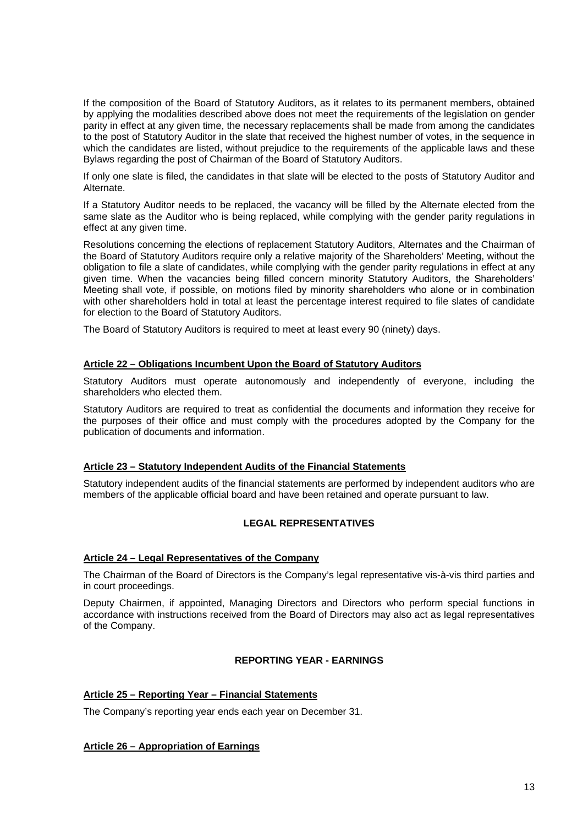If the composition of the Board of Statutory Auditors, as it relates to its permanent members, obtained by applying the modalities described above does not meet the requirements of the legislation on gender parity in effect at any given time, the necessary replacements shall be made from among the candidates to the post of Statutory Auditor in the slate that received the highest number of votes, in the sequence in which the candidates are listed, without prejudice to the requirements of the applicable laws and these Bylaws regarding the post of Chairman of the Board of Statutory Auditors.

If only one slate is filed, the candidates in that slate will be elected to the posts of Statutory Auditor and Alternate.

If a Statutory Auditor needs to be replaced, the vacancy will be filled by the Alternate elected from the same slate as the Auditor who is being replaced, while complying with the gender parity regulations in effect at any given time.

Resolutions concerning the elections of replacement Statutory Auditors, Alternates and the Chairman of the Board of Statutory Auditors require only a relative majority of the Shareholders' Meeting, without the obligation to file a slate of candidates, while complying with the gender parity regulations in effect at any given time. When the vacancies being filled concern minority Statutory Auditors, the Shareholders' Meeting shall vote, if possible, on motions filed by minority shareholders who alone or in combination with other shareholders hold in total at least the percentage interest required to file slates of candidate for election to the Board of Statutory Auditors.

The Board of Statutory Auditors is required to meet at least every 90 (ninety) days.

# **Article 22 – Obligations Incumbent Upon the Board of Statutory Auditors**

Statutory Auditors must operate autonomously and independently of everyone, including the shareholders who elected them.

Statutory Auditors are required to treat as confidential the documents and information they receive for the purposes of their office and must comply with the procedures adopted by the Company for the publication of documents and information.

# **Article 23 – Statutory Independent Audits of the Financial Statements**

Statutory independent audits of the financial statements are performed by independent auditors who are members of the applicable official board and have been retained and operate pursuant to law.

# **LEGAL REPRESENTATIVES**

# **Article 24 – Legal Representatives of the Company**

The Chairman of the Board of Directors is the Company's legal representative vis-à-vis third parties and in court proceedings.

Deputy Chairmen, if appointed, Managing Directors and Directors who perform special functions in accordance with instructions received from the Board of Directors may also act as legal representatives of the Company.

# **REPORTING YEAR - EARNINGS**

# **Article 25 – Reporting Year – Financial Statements**

The Company's reporting year ends each year on December 31.

# **Article 26 – Appropriation of Earnings**